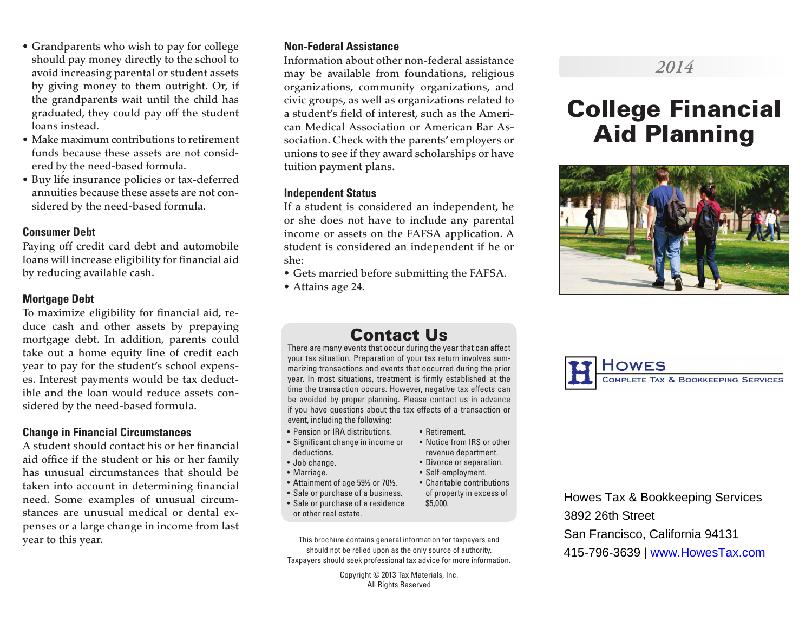- Grandparents who wish to pay for college should pay money directly to the school to avoid increasing parental or student assets by giving money to them outright. Or, if the grandparents wait until the child has graduated, they could pay off the student loans instead.
- Make maximum contributions to retirement funds because these assets are not considered by the need-based formula.
- Buy life insurance policies or tax-deferred annuities because these assets are not considered by the need-based formula.

### **Consumer Debt**

Paying off credit card debt and automobile loans will increase eligibility for financial aid by reducing available cash.

### **Mortgage Debt**

To maximize eligibility for financial aid, reduce cash and other assets by prepaying mortgage debt. In addition, parents could take out a home equity line of credit each year to pay for the student's school expenses. Interest payments would be tax deductible and the loan would reduce assets considered by the need-based formula.

### **Change in Financial Circumstances**

A student should contact his or her financial aid office if the student or his or her family has unusual circumstances that should be taken into account in determining financial need. Some examples of unusual circumstances are unusual medical or dental expenses or a large change in income from last year to this year.

### **Non-Federal Assistance**

Information about other non-federal assistance may be available from foundations, religious organizations, community organizations, and civic groups, as well as organizations related to a student's field of interest, such as the American Medical Association or American Bar Association. Check with the parents' employers or unions to see if they award scholarships or have tuition payment plans.

#### **Independent Status**

If a student is considered an independent, he or she does not have to include any parental income or assets on the FAFSA application. A student is considered an independent if he or she:

- Gets married before submitting the FAFSA.
- Attains age 24.

# Contact Us

There are many events that occur during the year that can affect your tax situation. Preparation of your tax return involves summarizing transactions and events that occurred during the prior year. In most situations, treatment is firmly established at the time the transaction occurs. However, negative tax effects can be avoided by proper planning. Please contact us in advance if you have questions about the tax effects of a transaction or event, including the following:

- Pension or IRA distributions.
- Significant change in income or deductions.
- Job change.
- Marriage.
- Attainment of age 59½ or 70½.
- Sale or purchase of a business.
- Sale or purchase of a residence or other real estate.
- This brochure contains general information for taxpayers and should not be relied upon as the only source of authority. Taxpayers should seek professional tax advice for more information.

Copyright © 2013 Tax Materials, Inc. All Rights Reserved



- revenue department.
- Divorce or separation.
- Self-employment. • Charitable contributions
	- of property in excess of \$5,000.

Howes Tax & Bookkeeping Services 3892 26th Street San Francisco, California 94131 415-796-3639 | www.HowesTax.com

# *2014*

# College Financial Aid Planning



COMPLETE TAX & BOOKKEEPING SERVICES